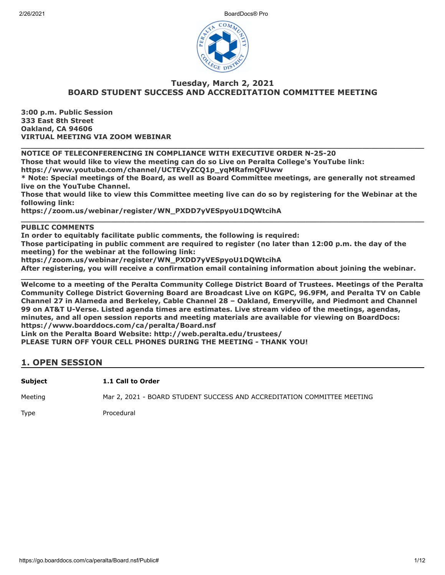

#### **Tuesday, March 2, 2021 BOARD STUDENT SUCCESS AND ACCREDITATION COMMITTEE MEETING**

**\_\_\_\_\_\_\_\_\_\_\_\_\_\_\_\_\_\_\_\_\_\_\_\_\_\_\_\_\_\_\_\_\_\_\_\_\_\_\_\_\_\_\_\_\_\_\_\_\_\_\_\_\_\_\_\_\_\_\_\_\_\_\_\_\_\_\_\_\_\_\_\_\_\_\_\_\_\_\_\_\_\_\_\_\_**

**3:00 p.m. Public Session 333 East 8th Street Oakland, CA 94606 VIRTUAL MEETING VIA ZOOM WEBINAR**

**NOTICE OF TELECONFERENCING IN COMPLIANCE WITH EXECUTIVE ORDER N-25-20**

**Those that would like to view the meeting can do so Live on Peralta College's YouTube link:**

**https://www.youtube.com/channel/UCTEVyZCQ1p\_yqMRafmQFUww**

**\* Note: Special meetings of the Board, as well as Board Committee meetings, are generally not streamed live on the YouTube Channel.**

**Those that would like to view this Committee meeting live can do so by registering for the Webinar at the following link:**

**\_\_\_\_\_\_\_\_\_\_\_\_\_\_\_\_\_\_\_\_\_\_\_\_\_\_\_\_\_\_\_\_\_\_\_\_\_\_\_\_\_\_\_\_\_\_\_\_\_\_\_\_\_\_\_\_\_\_\_\_\_\_\_\_\_\_\_\_\_\_\_\_\_\_\_\_\_\_\_\_\_\_\_\_\_**

**https://zoom.us/webinar/register/WN\_PXDD7yVESpyoU1DQWtcihA**

#### **PUBLIC COMMENTS**

**In order to equitably facilitate public comments, the following is required:**

**Those participating in public comment are required to register (no later than 12:00 p.m. the day of the meeting) for the webinar at the following link:**

**https://zoom.us/webinar/register/WN\_PXDD7yVESpyoU1DQWtcihA**

**After registering, you will receive a confirmation email containing information about joining the webinar. \_\_\_\_\_\_\_\_\_\_\_\_\_\_\_\_\_\_\_\_\_\_\_\_\_\_\_\_\_\_\_\_\_\_\_\_\_\_\_\_\_\_\_\_\_\_\_\_\_\_\_\_\_\_\_\_\_\_\_\_\_\_\_\_\_\_\_\_\_\_\_\_\_\_\_\_\_\_\_\_\_\_\_\_\_**

**Welcome to a meeting of the Peralta Community College District Board of Trustees. Meetings of the Peralta Community College District Governing Board are Broadcast Live on KGPC, 96.9FM, and Peralta TV on Cable Channel 27 in Alameda and Berkeley, Cable Channel 28 – Oakland, Emeryville, and Piedmont and Channel 99 on AT&T U-Verse. Listed agenda times are estimates. Live stream video of the meetings, agendas, minutes, and all open session reports and meeting materials are available for viewing on BoardDocs: https://www.boarddocs.com/ca/peralta/Board.nsf**

**Link on the Peralta Board Website: http://web.peralta.edu/trustees/**

**PLEASE TURN OFF YOUR CELL PHONES DURING THE MEETING - THANK YOU!**

#### **1. OPEN SESSION**

**Subject 1.1 Call to Order**

Meeting Mar 2, 2021 - BOARD STUDENT SUCCESS AND ACCREDITATION COMMITTEE MEETING

Type Procedural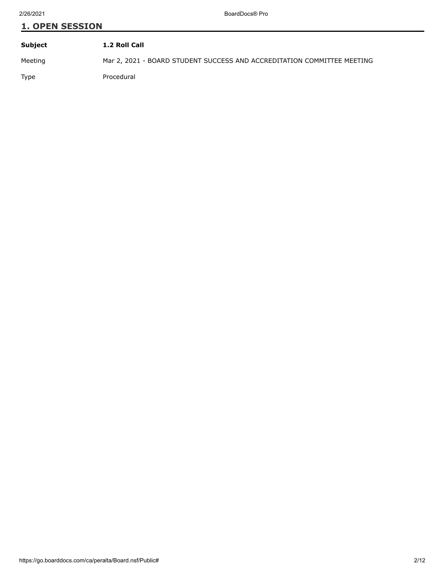# **1. OPEN SESSION Subject 1.2 Roll Call**

Meeting Mar 2, 2021 - BOARD STUDENT SUCCESS AND ACCREDITATION COMMITTEE MEETING

Type Procedural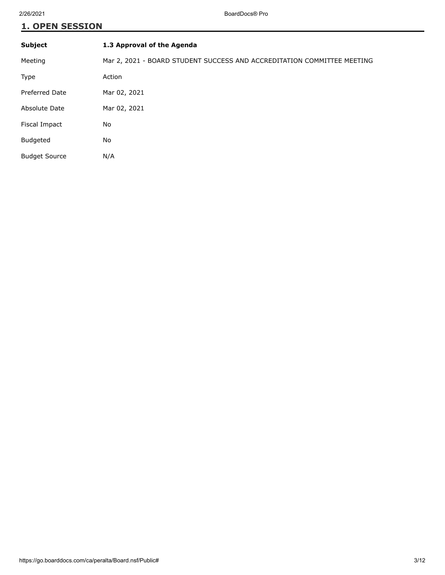## **1. OPEN SESSION**

| <b>Subject</b>        | 1.3 Approval of the Agenda                                              |
|-----------------------|-------------------------------------------------------------------------|
| Meeting               | Mar 2, 2021 - BOARD STUDENT SUCCESS AND ACCREDITATION COMMITTEE MEETING |
| <b>Type</b>           | Action                                                                  |
| <b>Preferred Date</b> | Mar 02, 2021                                                            |
| Absolute Date         | Mar 02, 2021                                                            |
| Fiscal Impact         | No                                                                      |
| Budgeted              | No                                                                      |
| <b>Budget Source</b>  | N/A                                                                     |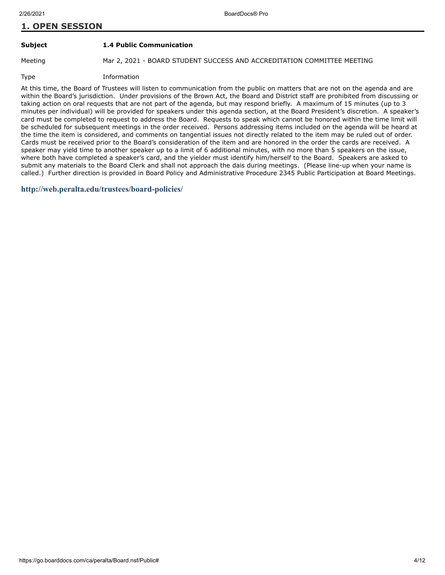#### **1. OPEN SESSION**

#### **Subject 1.4 Public Communication**

Meeting Mar 2, 2021 - BOARD STUDENT SUCCESS AND ACCREDITATION COMMITTEE MEETING

Type Information

At this time, the Board of Trustees will listen to communication from the public on matters that are not on the agenda and are within the Board's jurisdiction. Under provisions of the Brown Act, the Board and District staff are prohibited from discussing or taking action on oral requests that are not part of the agenda, but may respond briefly. A maximum of 15 minutes (up to 3 minutes per individual) will be provided for speakers under this agenda section, at the Board President's discretion. A speaker's card must be completed to request to address the Board. Requests to speak which cannot be honored within the time limit will be scheduled for subsequent meetings in the order received. Persons addressing items included on the agenda will be heard at the time the item is considered, and comments on tangential issues not directly related to the item may be ruled out of order. Cards must be received prior to the Board's consideration of the item and are honored in the order the cards are received. A speaker may yield time to another speaker up to a limit of 6 additional minutes, with no more than 5 speakers on the issue, where both have completed a speaker's card, and the yielder must identify him/herself to the Board. Speakers are asked to submit any materials to the Board Clerk and shall not approach the dais during meetings. (Please line-up when your name is called.) Further direction is provided in Board Policy and Administrative Procedure 2345 Public Participation at Board Meetings.

#### **<http://web.peralta.edu/trustees/board-policies/>**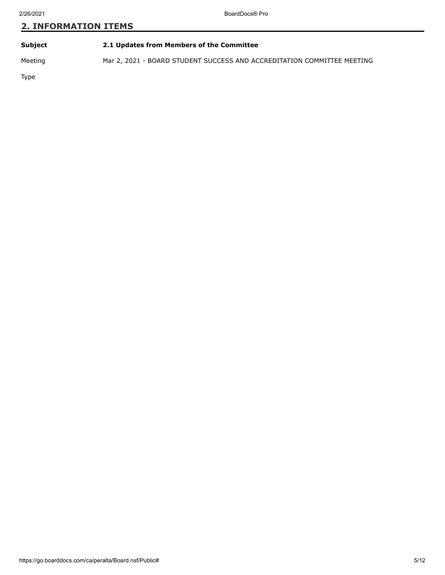| Subject | 2.1 Updates from Members of the Committee |
|---------|-------------------------------------------|
|         |                                           |

Meeting Mar 2, 2021 - BOARD STUDENT SUCCESS AND ACCREDITATION COMMITTEE MEETING

Type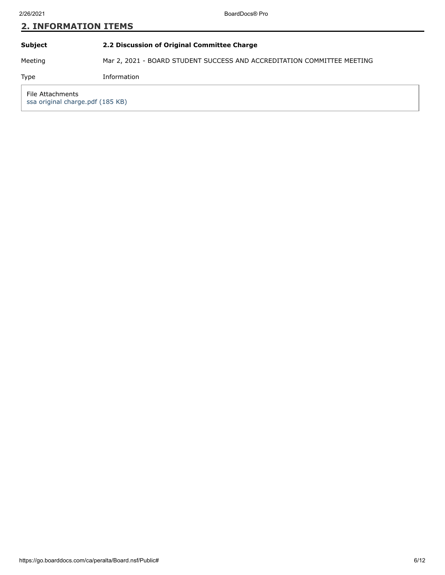| <b>2. INFORMATION ITEMS</b>                          |                                                                         |  |
|------------------------------------------------------|-------------------------------------------------------------------------|--|
| <b>Subject</b>                                       | 2.2 Discussion of Original Committee Charge                             |  |
| Meeting                                              | Mar 2, 2021 - BOARD STUDENT SUCCESS AND ACCREDITATION COMMITTEE MEETING |  |
| <b>Type</b>                                          | Information                                                             |  |
| File Attachments<br>ssa original charge.pdf (185 KB) |                                                                         |  |
|                                                      |                                                                         |  |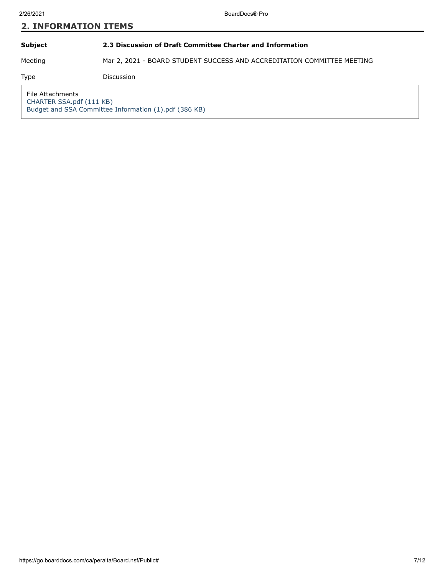#### **Subject 2.3 Discussion of Draft Committee Charter and Information**

Meeting Mar 2, 2021 - BOARD STUDENT SUCCESS AND ACCREDITATION COMMITTEE MEETING

Type Discussion

File Attachments [CHARTER SSA.pdf \(111 KB\)](https://go.boarddocs.com/ca/peralta/Board.nsf/files/BYLVMR8172CA/$file/CHARTER%20SSA.pdf) [Budget and SSA Committee Information \(1\).pdf \(386 KB\)](https://go.boarddocs.com/ca/peralta/Board.nsf/files/BYLW38836C79/$file/Budget%20and%20SSA%20Committee%20Information%20%20(1).pdf)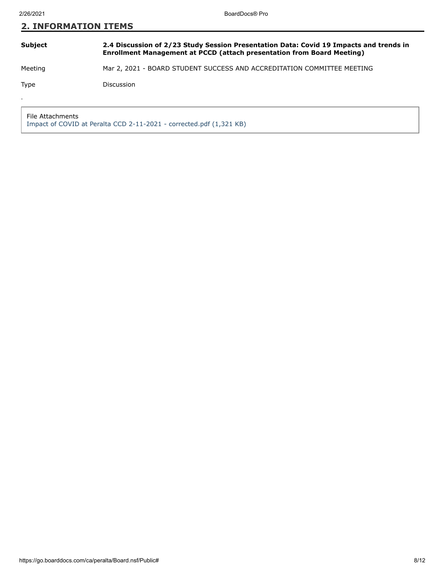#### **Subject 2.4 Discussion of 2/23 Study Session Presentation Data: Covid 19 Impacts and trends in Enrollment Management at PCCD (attach presentation from Board Meeting)**

Meeting Mar 2, 2021 - BOARD STUDENT SUCCESS AND ACCREDITATION COMMITTEE MEETING

.

Type Discussion

File Attachments [Impact of COVID at Peralta CCD 2-11-2021 - corrected.pdf \(1,321 KB\)](https://go.boarddocs.com/ca/peralta/Board.nsf/files/BYLVQE81D6C7/$file/Impact%20of%20COVID%20at%20Peralta%20CCD%202-11-2021%20-%20corrected.pdf)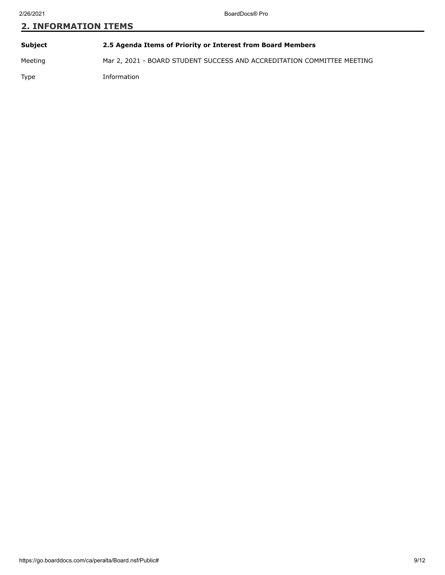| Subject     | 2.5 Agenda Items of Priority or Interest from Board Members             |
|-------------|-------------------------------------------------------------------------|
| Meeting     | Mar 2, 2021 - BOARD STUDENT SUCCESS AND ACCREDITATION COMMITTEE MEETING |
| <b>Type</b> | Information                                                             |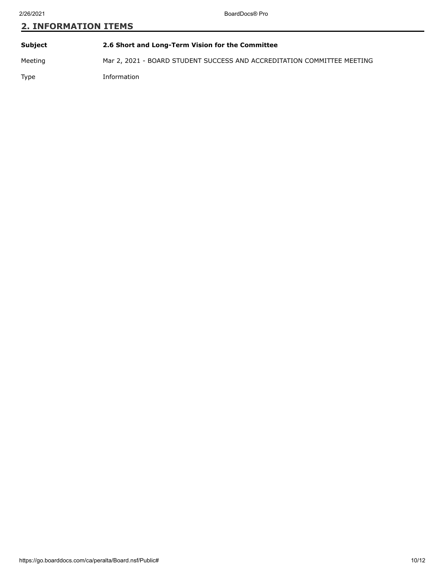| <b>Subject</b> | 2.6 Short and Long-Term Vision for the Committee                        |
|----------------|-------------------------------------------------------------------------|
| Meeting        | Mar 2, 2021 - BOARD STUDENT SUCCESS AND ACCREDITATION COMMITTEE MEETING |
| Type           | Information                                                             |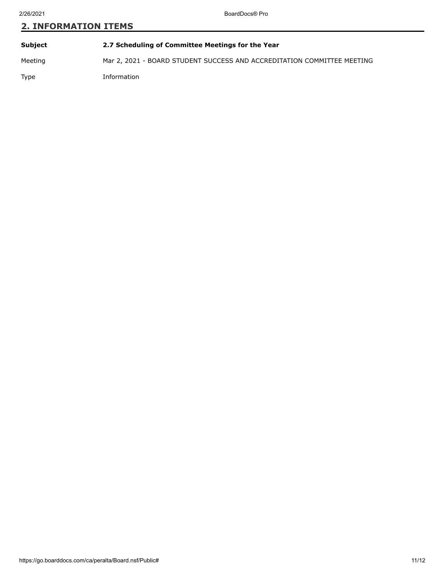# **Subject 2.7 Scheduling of Committee Meetings for the Year** Meeting Mar 2, 2021 - BOARD STUDENT SUCCESS AND ACCREDITATION COMMITTEE MEETING Type Information